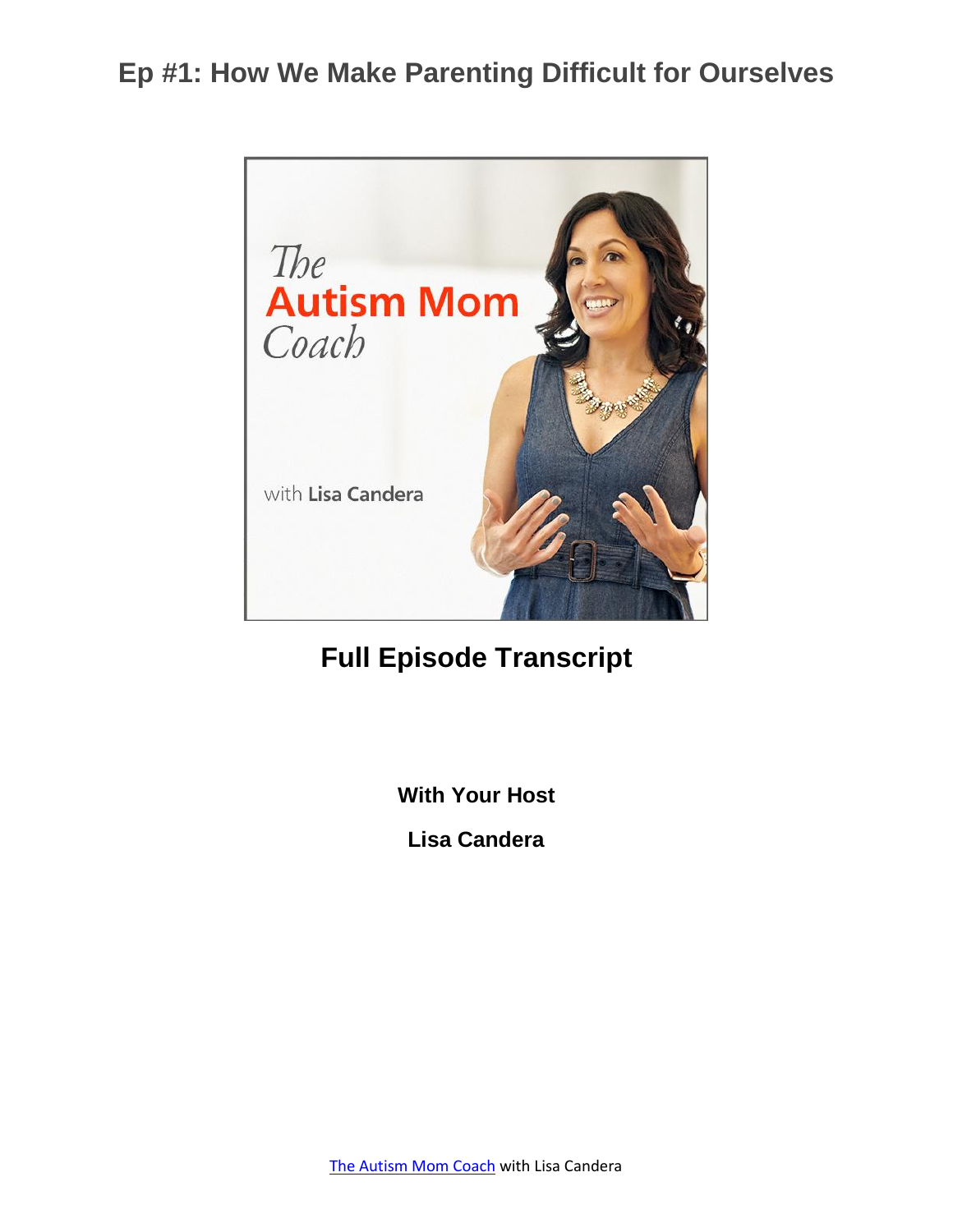

### **Full Episode Transcript**

**With Your Host**

**Lisa Candera**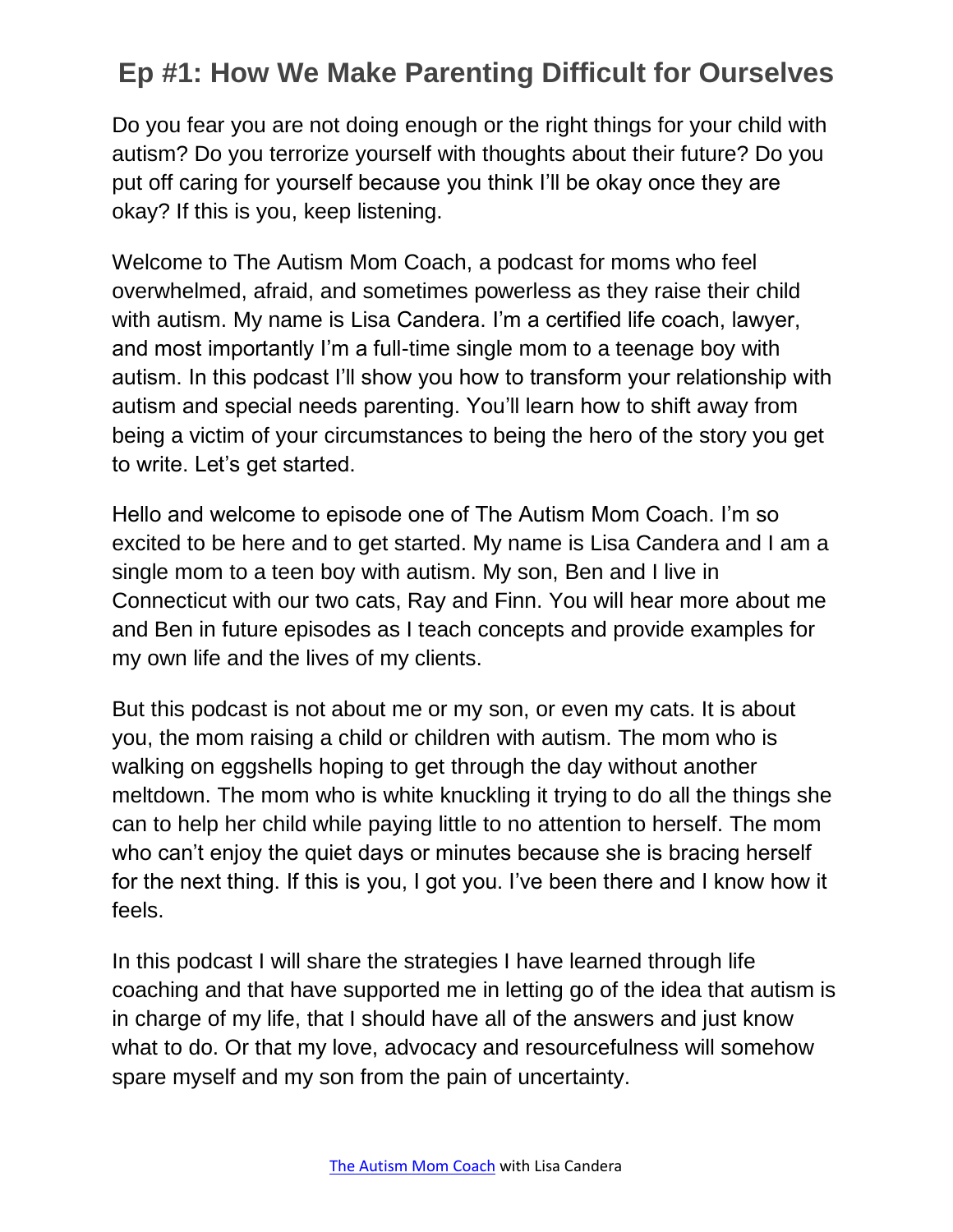Do you fear you are not doing enough or the right things for your child with autism? Do you terrorize yourself with thoughts about their future? Do you put off caring for yourself because you think I'll be okay once they are okay? If this is you, keep listening.

Welcome to The Autism Mom Coach, a podcast for moms who feel overwhelmed, afraid, and sometimes powerless as they raise their child with autism. My name is Lisa Candera. I'm a certified life coach, lawyer, and most importantly I'm a full-time single mom to a teenage boy with autism. In this podcast I'll show you how to transform your relationship with autism and special needs parenting. You'll learn how to shift away from being a victim of your circumstances to being the hero of the story you get to write. Let's get started.

Hello and welcome to episode one of The Autism Mom Coach. I'm so excited to be here and to get started. My name is Lisa Candera and I am a single mom to a teen boy with autism. My son, Ben and I live in Connecticut with our two cats, Ray and Finn. You will hear more about me and Ben in future episodes as I teach concepts and provide examples for my own life and the lives of my clients.

But this podcast is not about me or my son, or even my cats. It is about you, the mom raising a child or children with autism. The mom who is walking on eggshells hoping to get through the day without another meltdown. The mom who is white knuckling it trying to do all the things she can to help her child while paying little to no attention to herself. The mom who can't enjoy the quiet days or minutes because she is bracing herself for the next thing. If this is you, I got you. I've been there and I know how it feels.

In this podcast I will share the strategies I have learned through life coaching and that have supported me in letting go of the idea that autism is in charge of my life, that I should have all of the answers and just know what to do. Or that my love, advocacy and resourcefulness will somehow spare myself and my son from the pain of uncertainty.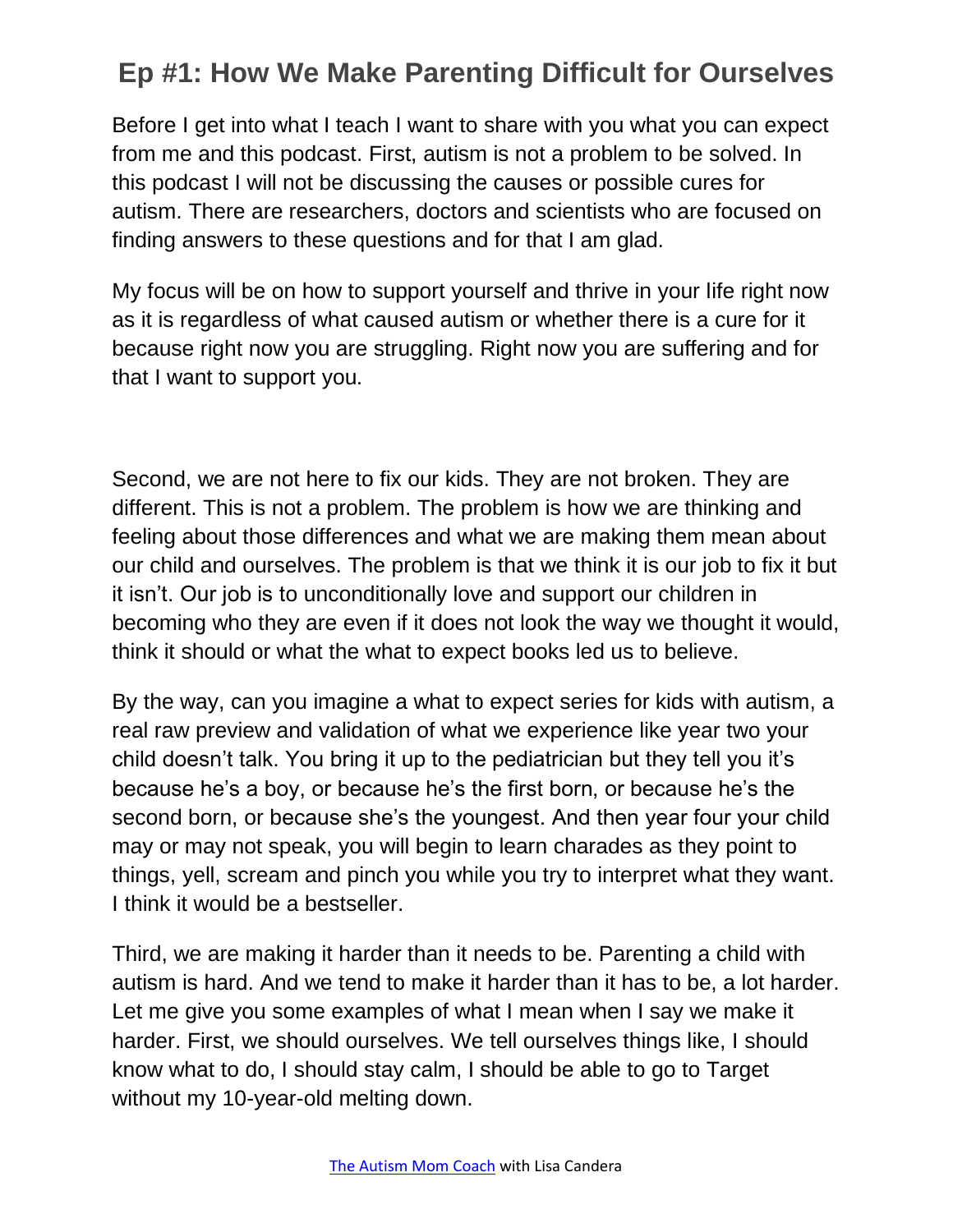Before I get into what I teach I want to share with you what you can expect from me and this podcast. First, autism is not a problem to be solved. In this podcast I will not be discussing the causes or possible cures for autism. There are researchers, doctors and scientists who are focused on finding answers to these questions and for that I am glad.

My focus will be on how to support yourself and thrive in your life right now as it is regardless of what caused autism or whether there is a cure for it because right now you are struggling. Right now you are suffering and for that I want to support you.

Second, we are not here to fix our kids. They are not broken. They are different. This is not a problem. The problem is how we are thinking and feeling about those differences and what we are making them mean about our child and ourselves. The problem is that we think it is our job to fix it but it isn't. Our job is to unconditionally love and support our children in becoming who they are even if it does not look the way we thought it would, think it should or what the what to expect books led us to believe.

By the way, can you imagine a what to expect series for kids with autism, a real raw preview and validation of what we experience like year two your child doesn't talk. You bring it up to the pediatrician but they tell you it's because he's a boy, or because he's the first born, or because he's the second born, or because she's the youngest. And then year four your child may or may not speak, you will begin to learn charades as they point to things, yell, scream and pinch you while you try to interpret what they want. I think it would be a bestseller.

Third, we are making it harder than it needs to be. Parenting a child with autism is hard. And we tend to make it harder than it has to be, a lot harder. Let me give you some examples of what I mean when I say we make it harder. First, we should ourselves. We tell ourselves things like, I should know what to do, I should stay calm, I should be able to go to Target without my 10-year-old melting down.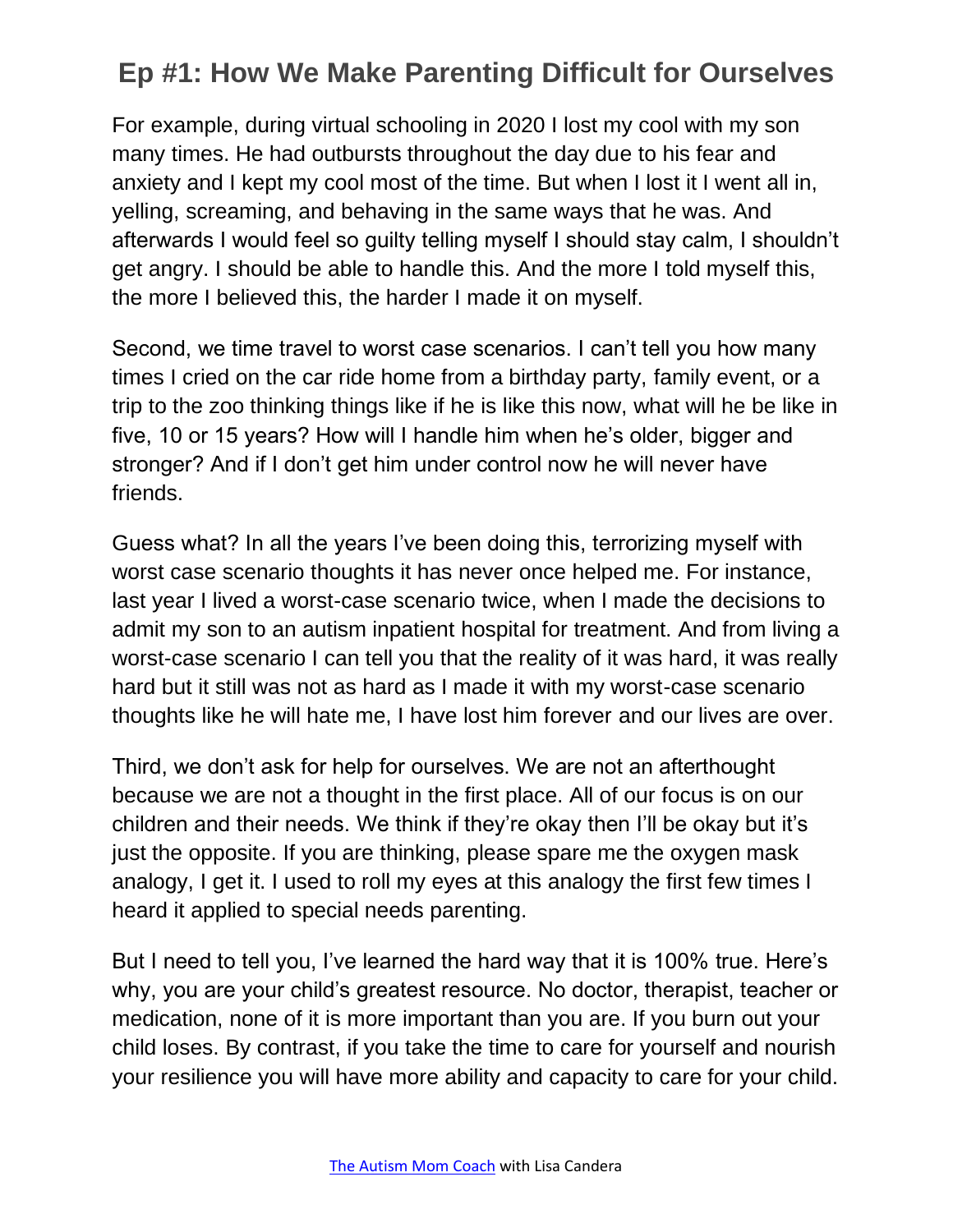For example, during virtual schooling in 2020 I lost my cool with my son many times. He had outbursts throughout the day due to his fear and anxiety and I kept my cool most of the time. But when I lost it I went all in, yelling, screaming, and behaving in the same ways that he was. And afterwards I would feel so guilty telling myself I should stay calm, I shouldn't get angry. I should be able to handle this. And the more I told myself this, the more I believed this, the harder I made it on myself.

Second, we time travel to worst case scenarios. I can't tell you how many times I cried on the car ride home from a birthday party, family event, or a trip to the zoo thinking things like if he is like this now, what will he be like in five, 10 or 15 years? How will I handle him when he's older, bigger and stronger? And if I don't get him under control now he will never have friends.

Guess what? In all the years I've been doing this, terrorizing myself with worst case scenario thoughts it has never once helped me. For instance, last year I lived a worst-case scenario twice, when I made the decisions to admit my son to an autism inpatient hospital for treatment. And from living a worst-case scenario I can tell you that the reality of it was hard, it was really hard but it still was not as hard as I made it with my worst-case scenario thoughts like he will hate me, I have lost him forever and our lives are over.

Third, we don't ask for help for ourselves. We are not an afterthought because we are not a thought in the first place. All of our focus is on our children and their needs. We think if they're okay then I'll be okay but it's just the opposite. If you are thinking, please spare me the oxygen mask analogy, I get it. I used to roll my eyes at this analogy the first few times I heard it applied to special needs parenting.

But I need to tell you, I've learned the hard way that it is 100% true. Here's why, you are your child's greatest resource. No doctor, therapist, teacher or medication, none of it is more important than you are. If you burn out your child loses. By contrast, if you take the time to care for yourself and nourish your resilience you will have more ability and capacity to care for your child.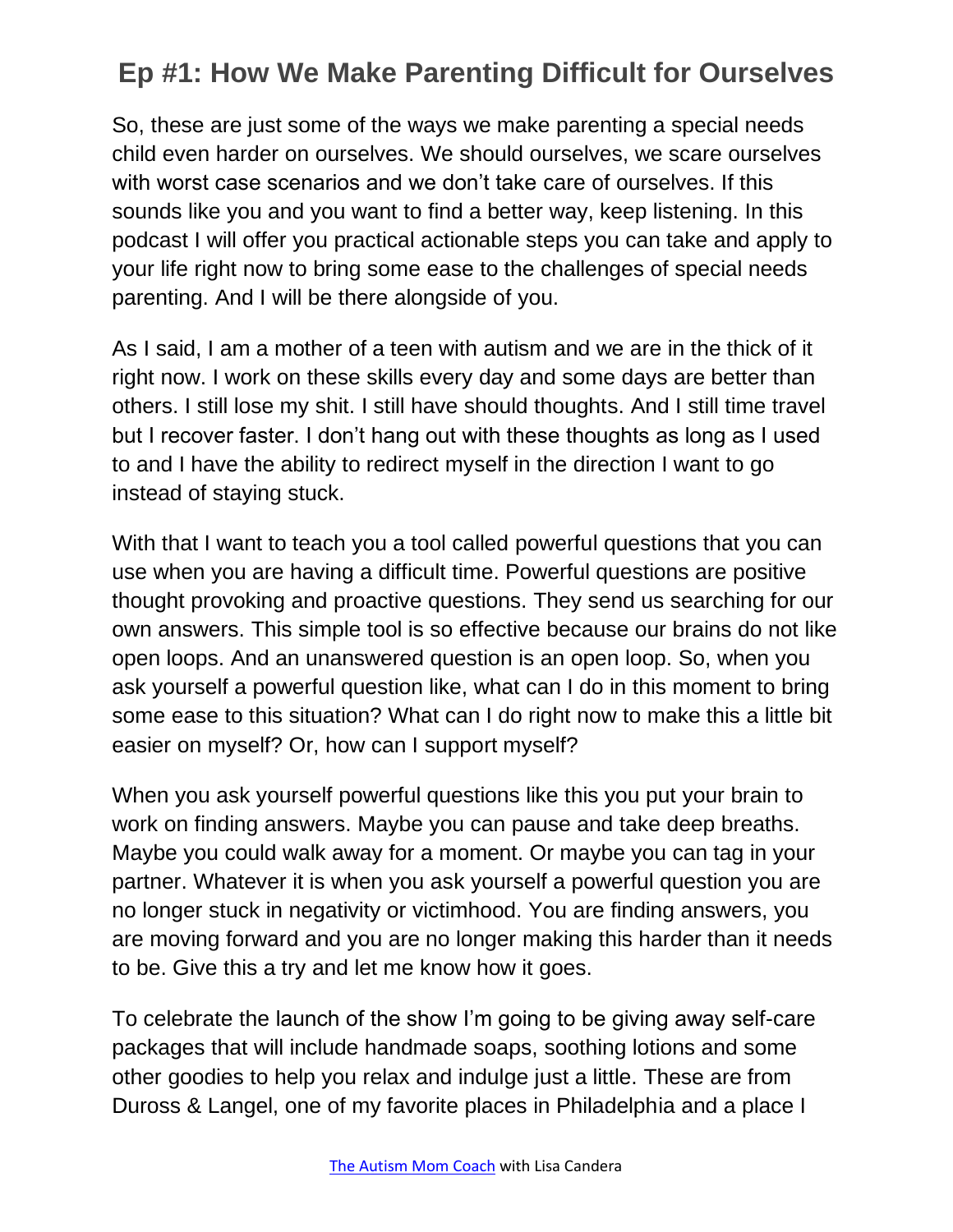So, these are just some of the ways we make parenting a special needs child even harder on ourselves. We should ourselves, we scare ourselves with worst case scenarios and we don't take care of ourselves. If this sounds like you and you want to find a better way, keep listening. In this podcast I will offer you practical actionable steps you can take and apply to your life right now to bring some ease to the challenges of special needs parenting. And I will be there alongside of you.

As I said, I am a mother of a teen with autism and we are in the thick of it right now. I work on these skills every day and some days are better than others. I still lose my shit. I still have should thoughts. And I still time travel but I recover faster. I don't hang out with these thoughts as long as I used to and I have the ability to redirect myself in the direction I want to go instead of staying stuck.

With that I want to teach you a tool called powerful questions that you can use when you are having a difficult time. Powerful questions are positive thought provoking and proactive questions. They send us searching for our own answers. This simple tool is so effective because our brains do not like open loops. And an unanswered question is an open loop. So, when you ask yourself a powerful question like, what can I do in this moment to bring some ease to this situation? What can I do right now to make this a little bit easier on myself? Or, how can I support myself?

When you ask yourself powerful questions like this you put your brain to work on finding answers. Maybe you can pause and take deep breaths. Maybe you could walk away for a moment. Or maybe you can tag in your partner. Whatever it is when you ask yourself a powerful question you are no longer stuck in negativity or victimhood. You are finding answers, you are moving forward and you are no longer making this harder than it needs to be. Give this a try and let me know how it goes.

To celebrate the launch of the show I'm going to be giving away self-care packages that will include handmade soaps, soothing lotions and some other goodies to help you relax and indulge just a little. These are from Duross & Langel, one of my favorite places in Philadelphia and a place I